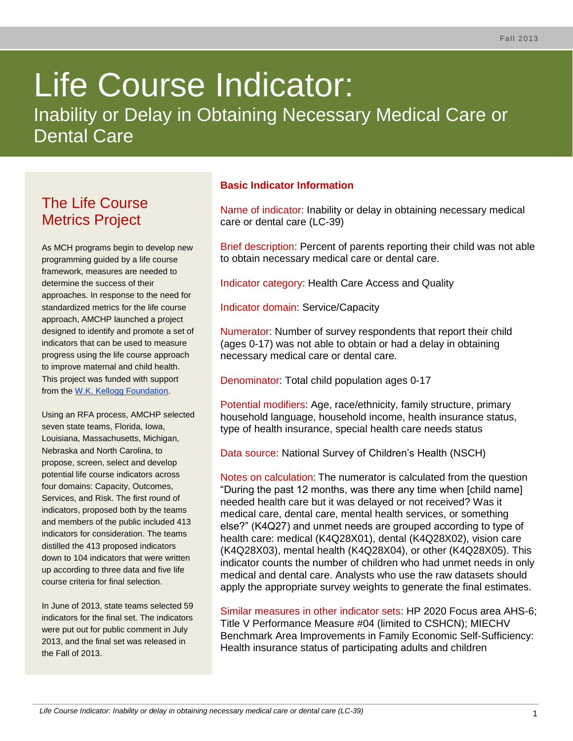# Life Course Indicator:

Inability or Delay in Obtaining Necessary Medical Care or Dental Care

# The Life Course Metrics Project

As MCH programs begin to develop new programming guided by a life course framework, measures are needed to determine the success of their approaches. In response to the need for standardized metrics for the life course approach, AMCHP launched a project designed to identify and promote a set of indicators that can be used to measure progress using the life course approach to improve maternal and child health. This project was funded with support from the [W.K. Kellogg Foundation.](http://www.wkkf.org/)

Using an RFA process, AMCHP selected seven state teams, Florida, Iowa, Louisiana, Massachusetts, Michigan, Nebraska and North Carolina, to propose, screen, select and develop potential life course indicators across four domains: Capacity, Outcomes, Services, and Risk. The first round of indicators, proposed both by the teams and members of the public included 413 indicators for consideration. The teams distilled the 413 proposed indicators down to 104 indicators that were written up according to three data and five life course criteria for final selection.

In June of 2013, state teams selected 59 indicators for the final set. The indicators were put out for public comment in July 2013, and the final set was released in the Fall of 2013.

# **Basic Indicator Information**

Name of indicator: Inability or delay in obtaining necessary medical care or dental care (LC-39)

Brief description: Percent of parents reporting their child was not able to obtain necessary medical care or dental care.

Indicator category: Health Care Access and Quality

Indicator domain: Service/Capacity

Numerator: Number of survey respondents that report their child (ages 0-17) was not able to obtain or had a delay in obtaining necessary medical care or dental care.

Denominator: Total child population ages 0-17

Potential modifiers: Age, race/ethnicity, family structure, primary household language, household income, health insurance status, type of health insurance, special health care needs status

Data source: National Survey of Children's Health (NSCH)

Notes on calculation: The numerator is calculated from the question "During the past 12 months, was there any time when [child name] needed health care but it was delayed or not received? Was it medical care, dental care, mental health services, or something else?" (K4Q27) and unmet needs are grouped according to type of health care: medical (K4Q28X01), dental (K4Q28X02), vision care (K4Q28X03), mental health (K4Q28X04), or other (K4Q28X05). This indicator counts the number of children who had unmet needs in only medical and dental care. Analysts who use the raw datasets should apply the appropriate survey weights to generate the final estimates.

Similar measures in other indicator sets: HP 2020 Focus area AHS-6; Title V Performance Measure #04 (limited to CSHCN); MIECHV Benchmark Area Improvements in Family Economic Self-Sufficiency: Health insurance status of participating adults and children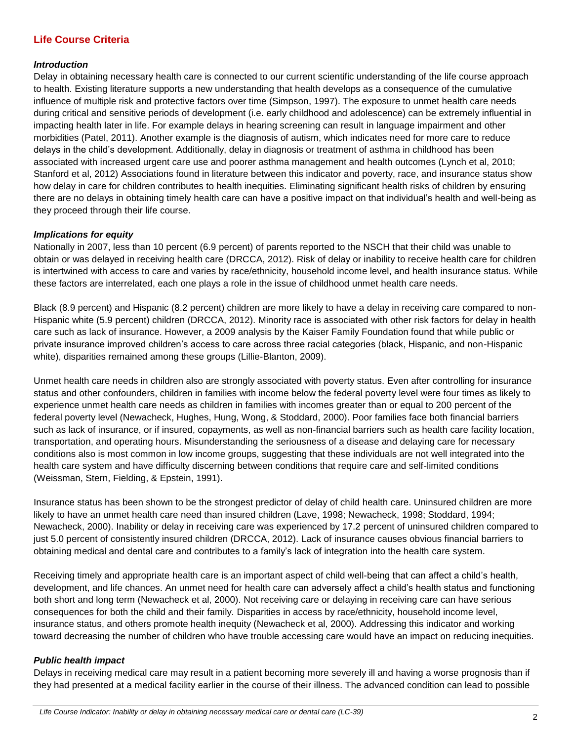### **Life Course Criteria**

#### *Introduction*

Delay in obtaining necessary health care is connected to our current scientific understanding of the life course approach to health. Existing literature supports a new understanding that health develops as a consequence of the cumulative influence of multiple risk and protective factors over time (Simpson, 1997). The exposure to unmet health care needs during critical and sensitive periods of development (i.e. early childhood and adolescence) can be extremely influential in impacting health later in life. For example delays in hearing screening can result in language impairment and other morbidities (Patel, 2011). Another example is the diagnosis of autism, which indicates need for more care to reduce delays in the child's development. Additionally, delay in diagnosis or treatment of asthma in childhood has been associated with increased urgent care use and poorer asthma management and health outcomes (Lynch et al, 2010; Stanford et al, 2012) Associations found in literature between this indicator and poverty, race, and insurance status show how delay in care for children contributes to health inequities. Eliminating significant health risks of children by ensuring there are no delays in obtaining timely health care can have a positive impact on that individual's health and well-being as they proceed through their life course.

#### *Implications for equity*

Nationally in 2007, less than 10 percent (6.9 percent) of parents reported to the NSCH that their child was unable to obtain or was delayed in receiving health care (DRCCA, 2012). Risk of delay or inability to receive health care for children is intertwined with access to care and varies by race/ethnicity, household income level, and health insurance status. While these factors are interrelated, each one plays a role in the issue of childhood unmet health care needs.

Black (8.9 percent) and Hispanic (8.2 percent) children are more likely to have a delay in receiving care compared to non-Hispanic white (5.9 percent) children (DRCCA, 2012). Minority race is associated with other risk factors for delay in health care such as lack of insurance. However, a 2009 analysis by the Kaiser Family Foundation found that while public or private insurance improved children's access to care across three racial categories (black, Hispanic, and non-Hispanic white), disparities remained among these groups (Lillie-Blanton, 2009).

Unmet health care needs in children also are strongly associated with poverty status. Even after controlling for insurance status and other confounders, children in families with income below the federal poverty level were four times as likely to experience unmet health care needs as children in families with incomes greater than or equal to 200 percent of the federal poverty level (Newacheck, Hughes, Hung, Wong, & Stoddard, 2000). Poor families face both financial barriers such as lack of insurance, or if insured, copayments, as well as non-financial barriers such as health care facility location, transportation, and operating hours. Misunderstanding the seriousness of a disease and delaying care for necessary conditions also is most common in low income groups, suggesting that these individuals are not well integrated into the health care system and have difficulty discerning between conditions that require care and self-limited conditions (Weissman, Stern, Fielding, & Epstein, 1991).

Insurance status has been shown to be the strongest predictor of delay of child health care. Uninsured children are more likely to have an unmet health care need than insured children (Lave, 1998; Newacheck, 1998; Stoddard, 1994; Newacheck, 2000). Inability or delay in receiving care was experienced by 17.2 percent of uninsured children compared to just 5.0 percent of consistently insured children (DRCCA, 2012). Lack of insurance causes obvious financial barriers to obtaining medical and dental care and contributes to a family's lack of integration into the health care system.

Receiving timely and appropriate health care is an important aspect of child well-being that can affect a child's health, development, and life chances. An unmet need for health care can adversely affect a child's health status and functioning both short and long term (Newacheck et al, 2000). Not receiving care or delaying in receiving care can have serious consequences for both the child and their family. Disparities in access by race/ethnicity, household income level, insurance status, and others promote health inequity (Newacheck et al, 2000). Addressing this indicator and working toward decreasing the number of children who have trouble accessing care would have an impact on reducing inequities.

#### *Public health impact*

Delays in receiving medical care may result in a patient becoming more severely ill and having a worse prognosis than if they had presented at a medical facility earlier in the course of their illness. The advanced condition can lead to possible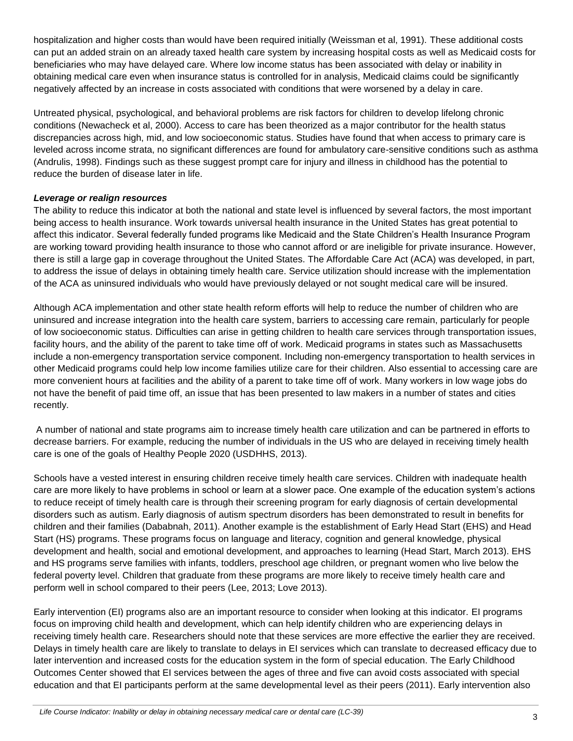hospitalization and higher costs than would have been required initially (Weissman et al, 1991). These additional costs can put an added strain on an already taxed health care system by increasing hospital costs as well as Medicaid costs for beneficiaries who may have delayed care. Where low income status has been associated with delay or inability in obtaining medical care even when insurance status is controlled for in analysis, Medicaid claims could be significantly negatively affected by an increase in costs associated with conditions that were worsened by a delay in care.

Untreated physical, psychological, and behavioral problems are risk factors for children to develop lifelong chronic conditions (Newacheck et al, 2000). Access to care has been theorized as a major contributor for the health status discrepancies across high, mid, and low socioeconomic status. Studies have found that when access to primary care is leveled across income strata, no significant differences are found for ambulatory care-sensitive conditions such as asthma (Andrulis, 1998). Findings such as these suggest prompt care for injury and illness in childhood has the potential to reduce the burden of disease later in life.

#### *Leverage or realign resources*

The ability to reduce this indicator at both the national and state level is influenced by several factors, the most important being access to health insurance. Work towards universal health insurance in the United States has great potential to affect this indicator. Several federally funded programs like Medicaid and the State Children's Health Insurance Program are working toward providing health insurance to those who cannot afford or are ineligible for private insurance. However, there is still a large gap in coverage throughout the United States. The Affordable Care Act (ACA) was developed, in part, to address the issue of delays in obtaining timely health care. Service utilization should increase with the implementation of the ACA as uninsured individuals who would have previously delayed or not sought medical care will be insured.

Although ACA implementation and other state health reform efforts will help to reduce the number of children who are uninsured and increase integration into the health care system, barriers to accessing care remain, particularly for people of low socioeconomic status. Difficulties can arise in getting children to health care services through transportation issues, facility hours, and the ability of the parent to take time off of work. Medicaid programs in states such as Massachusetts include a non-emergency transportation service component. Including non-emergency transportation to health services in other Medicaid programs could help low income families utilize care for their children. Also essential to accessing care are more convenient hours at facilities and the ability of a parent to take time off of work. Many workers in low wage jobs do not have the benefit of paid time off, an issue that has been presented to law makers in a number of states and cities recently.

A number of national and state programs aim to increase timely health care utilization and can be partnered in efforts to decrease barriers. For example, reducing the number of individuals in the US who are delayed in receiving timely health care is one of the goals of Healthy People 2020 (USDHHS, 2013).

Schools have a vested interest in ensuring children receive timely health care services. Children with inadequate health care are more likely to have problems in school or learn at a slower pace. One example of the education system's actions to reduce receipt of timely health care is through their screening program for early diagnosis of certain developmental disorders such as autism. Early diagnosis of autism spectrum disorders has been demonstrated to result in benefits for children and their families (Dababnah, 2011). Another example is the establishment of Early Head Start (EHS) and Head Start (HS) programs. These programs focus on language and literacy, cognition and general knowledge, physical development and health, social and emotional development, and approaches to learning (Head Start, March 2013). EHS and HS programs serve families with infants, toddlers, preschool age children, or pregnant women who live below the federal poverty level. Children that graduate from these programs are more likely to receive timely health care and perform well in school compared to their peers (Lee, 2013; Love 2013).

Early intervention (EI) programs also are an important resource to consider when looking at this indicator. EI programs focus on improving child health and development, which can help identify children who are experiencing delays in receiving timely health care. Researchers should note that these services are more effective the earlier they are received. Delays in timely health care are likely to translate to delays in EI services which can translate to decreased efficacy due to later intervention and increased costs for the education system in the form of special education. The Early Childhood Outcomes Center showed that EI services between the ages of three and five can avoid costs associated with special education and that EI participants perform at the same developmental level as their peers (2011). Early intervention also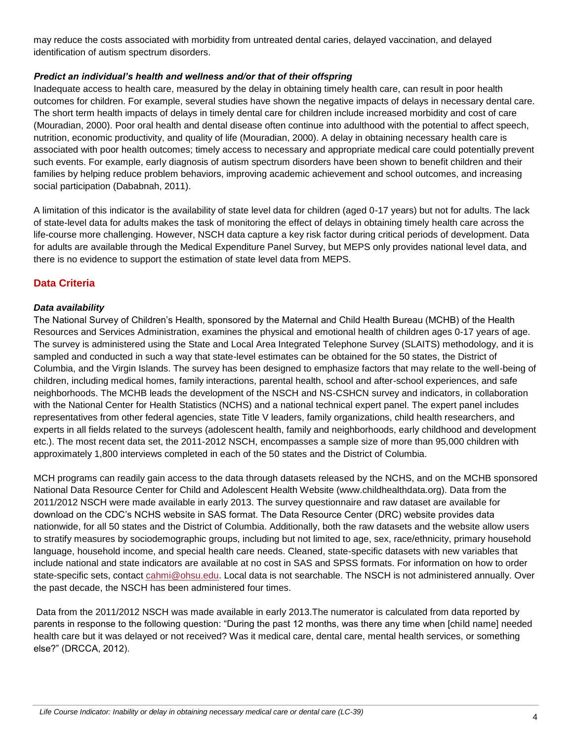may reduce the costs associated with morbidity from untreated dental caries, delayed vaccination, and delayed identification of autism spectrum disorders.

#### *Predict an individual's health and wellness and/or that of their offspring*

Inadequate access to health care, measured by the delay in obtaining timely health care, can result in poor health outcomes for children. For example, several studies have shown the negative impacts of delays in necessary dental care. The short term health impacts of delays in timely dental care for children include increased morbidity and cost of care (Mouradian, 2000). Poor oral health and dental disease often continue into adulthood with the potential to affect speech, nutrition, economic productivity, and quality of life (Mouradian, 2000). A delay in obtaining necessary health care is associated with poor health outcomes; timely access to necessary and appropriate medical care could potentially prevent such events. For example, early diagnosis of autism spectrum disorders have been shown to benefit children and their families by helping reduce problem behaviors, improving academic achievement and school outcomes, and increasing social participation (Dababnah, 2011).

A limitation of this indicator is the availability of state level data for children (aged 0-17 years) but not for adults. The lack of state-level data for adults makes the task of monitoring the effect of delays in obtaining timely health care across the life-course more challenging. However, NSCH data capture a key risk factor during critical periods of development. Data for adults are available through the Medical Expenditure Panel Survey, but MEPS only provides national level data, and there is no evidence to support the estimation of state level data from MEPS.

## **Data Criteria**

#### *Data availability*

The National Survey of Children's Health, sponsored by the Maternal and Child Health Bureau (MCHB) of the Health Resources and Services Administration, examines the physical and emotional health of children ages 0-17 years of age. The survey is administered using the State and Local Area Integrated Telephone Survey (SLAITS) methodology, and it is sampled and conducted in such a way that state-level estimates can be obtained for the 50 states, the District of Columbia, and the Virgin Islands. The survey has been designed to emphasize factors that may relate to the well-being of children, including medical homes, family interactions, parental health, school and after-school experiences, and safe neighborhoods. The MCHB leads the development of the NSCH and NS-CSHCN survey and indicators, in collaboration with the National Center for Health Statistics (NCHS) and a national technical expert panel. The expert panel includes representatives from other federal agencies, state Title V leaders, family organizations, child health researchers, and experts in all fields related to the surveys (adolescent health, family and neighborhoods, early childhood and development etc.). The most recent data set, the 2011-2012 NSCH, encompasses a sample size of more than 95,000 children with approximately 1,800 interviews completed in each of the 50 states and the District of Columbia.

MCH programs can readily gain access to the data through datasets released by the NCHS, and on the MCHB sponsored National Data Resource Center for Child and Adolescent Health Website (www.childhealthdata.org). Data from the 2011/2012 NSCH were made available in early 2013. The survey questionnaire and raw dataset are available for download on the CDC's NCHS website in SAS format. The Data Resource Center (DRC) website provides data nationwide, for all 50 states and the District of Columbia. Additionally, both the raw datasets and the website allow users to stratify measures by sociodemographic groups, including but not limited to age, sex, race/ethnicity, primary household language, household income, and special health care needs. Cleaned, state-specific datasets with new variables that include national and state indicators are available at no cost in SAS and SPSS formats. For information on how to order state-specific sets, contact [cahmi@ohsu.edu.](mailto:cahmi@ohsu.edu) Local data is not searchable. The NSCH is not administered annually. Over the past decade, the NSCH has been administered four times.

Data from the 2011/2012 NSCH was made available in early 2013.The numerator is calculated from data reported by parents in response to the following question: "During the past 12 months, was there any time when [child name] needed health care but it was delayed or not received? Was it medical care, dental care, mental health services, or something else?" (DRCCA, 2012).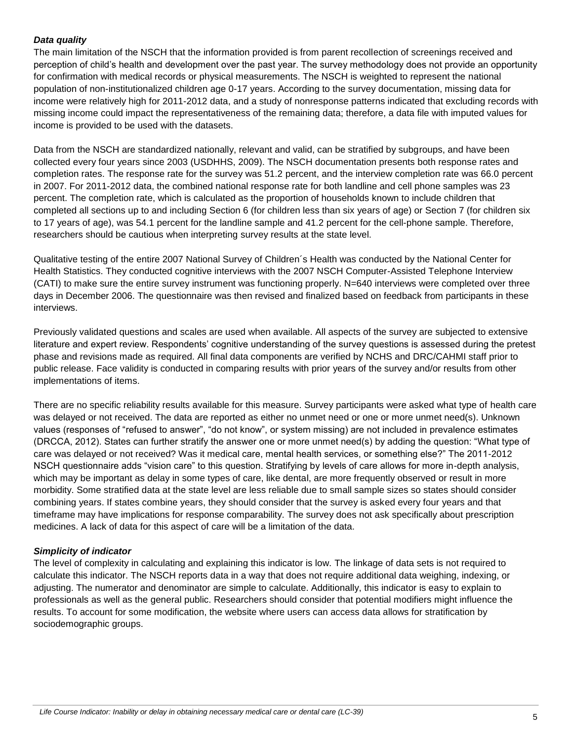#### *Data quality*

The main limitation of the NSCH that the information provided is from parent recollection of screenings received and perception of child's health and development over the past year. The survey methodology does not provide an opportunity for confirmation with medical records or physical measurements. The NSCH is weighted to represent the national population of non-institutionalized children age 0-17 years. According to the survey documentation, missing data for income were relatively high for 2011-2012 data, and a study of nonresponse patterns indicated that excluding records with missing income could impact the representativeness of the remaining data; therefore, a data file with imputed values for income is provided to be used with the datasets.

Data from the NSCH are standardized nationally, relevant and valid, can be stratified by subgroups, and have been collected every four years since 2003 (USDHHS, 2009). The NSCH documentation presents both response rates and completion rates. The response rate for the survey was 51.2 percent, and the interview completion rate was 66.0 percent in 2007. For 2011-2012 data, the combined national response rate for both landline and cell phone samples was 23 percent. The completion rate, which is calculated as the proportion of households known to include children that completed all sections up to and including Section 6 (for children less than six years of age) or Section 7 (for children six to 17 years of age), was 54.1 percent for the landline sample and 41.2 percent for the cell-phone sample. Therefore, researchers should be cautious when interpreting survey results at the state level.

Qualitative testing of the entire 2007 National Survey of Children´s Health was conducted by the National Center for Health Statistics. They conducted cognitive interviews with the 2007 NSCH Computer-Assisted Telephone Interview (CATI) to make sure the entire survey instrument was functioning properly. N=640 interviews were completed over three days in December 2006. The questionnaire was then revised and finalized based on feedback from participants in these interviews.

Previously validated questions and scales are used when available. All aspects of the survey are subjected to extensive literature and expert review. Respondents' cognitive understanding of the survey questions is assessed during the pretest phase and revisions made as required. All final data components are verified by NCHS and DRC/CAHMI staff prior to public release. Face validity is conducted in comparing results with prior years of the survey and/or results from other implementations of items.

There are no specific reliability results available for this measure. Survey participants were asked what type of health care was delayed or not received. The data are reported as either no unmet need or one or more unmet need(s). Unknown values (responses of "refused to answer", "do not know", or system missing) are not included in prevalence estimates (DRCCA, 2012). States can further stratify the answer one or more unmet need(s) by adding the question: "What type of care was delayed or not received? Was it medical care, mental health services, or something else?" The 2011-2012 NSCH questionnaire adds "vision care" to this question. Stratifying by levels of care allows for more in-depth analysis, which may be important as delay in some types of care, like dental, are more frequently observed or result in more morbidity. Some stratified data at the state level are less reliable due to small sample sizes so states should consider combining years. If states combine years, they should consider that the survey is asked every four years and that timeframe may have implications for response comparability. The survey does not ask specifically about prescription medicines. A lack of data for this aspect of care will be a limitation of the data.

#### *Simplicity of indicator*

The level of complexity in calculating and explaining this indicator is low. The linkage of data sets is not required to calculate this indicator. The NSCH reports data in a way that does not require additional data weighing, indexing, or adjusting. The numerator and denominator are simple to calculate. Additionally, this indicator is easy to explain to professionals as well as the general public. Researchers should consider that potential modifiers might influence the results. To account for some modification, the website where users can access data allows for stratification by sociodemographic groups.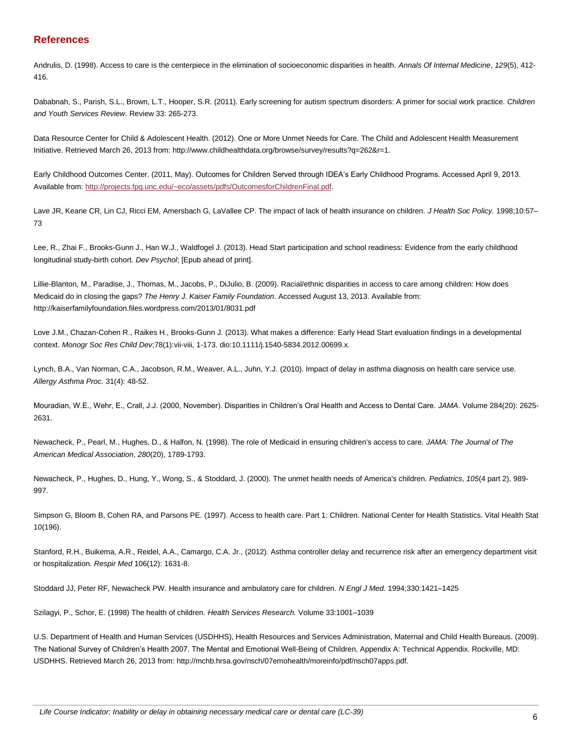#### **References**

Andrulis, D. (1998). Access to care is the centerpiece in the elimination of socioeconomic disparities in health. *Annals Of Internal Medicine*, *129*(5), 412- 416.

Dababnah, S., Parish, S.L., Brown, L.T., Hooper, S.R. (2011). Early screening for autism spectrum disorders: A primer for social work practice. *Children and Youth Services Review*. Review 33: 265-273.

Data Resource Center for Child & Adolescent Health. (2012). One or More Unmet Needs for Care. The Child and Adolescent Health Measurement Initiative. Retrieved March 26, 2013 from: http://www.childhealthdata.org/browse/survey/results?q=262&r=1.

Early Childhood Outcomes Center. (2011, May). Outcomes for Children Served through IDEA's Early Childhood Programs. Accessed April 9, 2013. Available from: [http://projects.fpg.unc.edu/~eco/assets/pdfs/OutcomesforChildrenFinal.pdf.](http://projects.fpg.unc.edu/~eco/assets/pdfs/OutcomesforChildrenFinal.pdf)

Lave JR, Keane CR, Lin CJ, Ricci EM, Amersbach G, LaVallee CP. The impact of lack of health insurance on children. *J Health Soc Policy.* 1998;10:57– 73

Lee, R., Zhai F., Brooks-Gunn J., Han W.J., Waldfogel J. (2013). Head Start participation and school readiness: Evidence from the early childhood longitudinal study-birth cohort. *Dev Psychol*; [Epub ahead of print].

Lillie-Blanton, M., Paradise, J., Thomas, M., Jacobs, P., DiJulio, B. (2009). Racial/ethnic disparities in access to care among children: How does Medicaid do in closing the gaps? *The Henry J. Kaiser Family Foundation*. Accessed August 13, 2013. Available from: http://kaiserfamilyfoundation.files.wordpress.com/2013/01/8031.pdf

Love J.M., Chazan-Cohen R., Raikes H., Brooks-Gunn J. (2013). What makes a difference: Early Head Start evaluation findings in a developmental context. *Monogr Soc Res Child Dev*;78(1):vii-viii, 1-173. dio:10.1111/j.1540-5834.2012.00699.x.

Lynch, B.A., Van Norman, C.A., Jacobson, R.M., Weaver, A.L., Juhn, Y.J. (2010). Impact of delay in asthma diagnosis on health care service use. *Allergy Asthma Proc.* 31(4): 48-52.

Mouradian, W.E., Wehr, E., Crall, J.J. (2000, November). Disparities in Children's Oral Health and Access to Dental Care. *JAMA*. Volume 284(20): 2625- 2631.

Newacheck, P., Pearl, M., Hughes, D., & Halfon, N. (1998). The role of Medicaid in ensuring children's access to care. *JAMA: The Journal of The American Medical Association*, *280*(20), 1789-1793.

Newacheck, P., Hughes, D., Hung, Y., Wong, S., & Stoddard, J. (2000). The unmet health needs of America's children. *Pediatrics*, *105*(4 part 2), 989- 997.

Simpson G, Bloom B, Cohen RA, and Parsons PE. (1997). Access to health care. Part 1: Children. National Center for Health Statistics. Vital Health Stat 10(196).

Stanford, R.H., Buikema, A.R., Reidel, A.A., Camargo, C.A. Jr., (2012). Asthma controller delay and recurrence risk after an emergency department visit or hospitalization. *Respir Med* 106(12): 1631-8.

Stoddard JJ, Peter RF, Newacheck PW. Health insurance and ambulatory care for children. *N Engl J Med.* 1994;330:1421–1425

Szilagyi, P., Schor, E. (1998) The health of children. *Health Services Research.* Volume 33:1001–1039

U.S. Department of Health and Human Services (USDHHS), Health Resources and Services Administration, Maternal and Child Health Bureaus. (2009). The National Survey of Children's Health 2007. The Mental and Emotional Well-Being of Children, Appendix A: Technical Appendix. Rockville, MD: USDHHS. Retrieved March 26, 2013 from: http://mchb.hrsa.gov/nsch/07emohealth/moreinfo/pdf/nsch07apps.pdf.